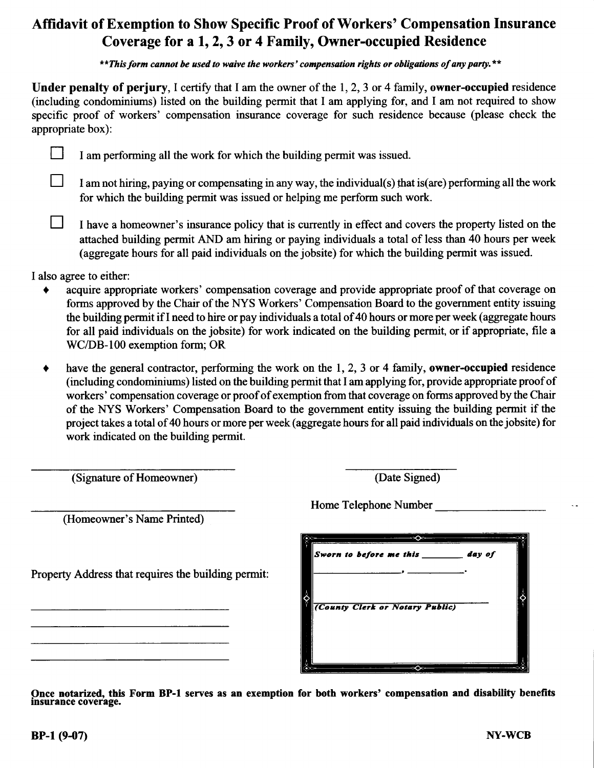# Affidavit of Exemption to Show Specific Proof of Workers' Compensation Insurance Coverage for a 1, 2, 3 or 4 Family, Owner-occupied Residence

\*\*This form cannot be used to waive the workers' compensation rights or obligations of any party.\*\*

Under penalty of perjury, I certify that I am the owner of the  $1, 2, 3$  or 4 family, owner-occupied residence (including condominiums) listed on the building pennit that I am applying for, and I am not required to show specific proof of workers' compensation insurance coverage for such residence because (please check the appropriate box):

|  | I am performing all the work for which the building permit was issued. |
|--|------------------------------------------------------------------------|
|--|------------------------------------------------------------------------|

I am not hiring, paying or compensating in any way, the individual(s) that is(are) performing all the work for which the building permit was issued or helping me perform such work.

I have a homeowner's insurance policy that is currently in effect and covers the property listed on the attached building permit AND am hiring or paying individuals a total of less than 40 hours per week (aggregate hours for all paid individuals on the jobsite) for which the building permit was issued.

I also agree to either:

- acquire appropriate workers' compensation coverage and provide appropriate proof of that coverage on forms approved by the Chair of the NYS Workers' Compensation Board to the government entity issuing the building permit if I need to hire or pay individuals a total of 40 hours or more per week (aggregate hours for all paid individuals on the jobsite) for work indicated on the building permit, or if appropriate, file a WC/DB-100 exemption form; OR
- $\bullet$  have the general contractor, performing the work on the 1, 2, 3 or 4 family, owner-occupied residence (including condominiums) listed on the building permit that I am applying for, provide appropriate proof of workers' compensation coverage or proof of exemption from that coverage on forms approved by the Chair of the NYS Workers' Compensation Board to the govenrment entity issuing the building permit if the project takes a total of 40 hours or more per week (aggregate hours for all paid individuals on the jobsite) for work indicated on the building permit.

(Signature of Homeowner) (Date Signed)

(Homeowner's Name Printed)

Property Address that requires the building permit:

Home Telephone Number

| $\sim$ Sworn to before me this $\sim$<br>day of |  |
|-------------------------------------------------|--|
|                                                 |  |
|                                                 |  |
| (County Clerk or Notary Public)                 |  |
|                                                 |  |
|                                                 |  |
|                                                 |  |

Once notarized, this Form insurance coverage. BP-l serves as an exemption for both workers' compensation and disability benefits